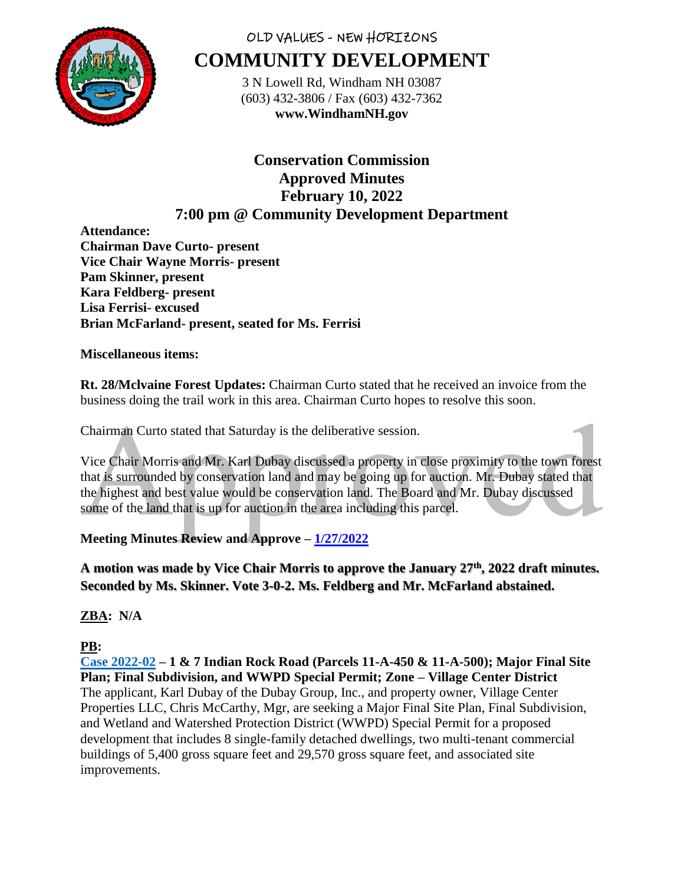

# OLD VALUES - NEW HORIZONS **COMMUNITY DEVELOPMENT**

3 N Lowell Rd, Windham NH 03087 (603) 432-3806 / Fax (603) 432-7362 **www.WindhamNH.gov**

**Conservation Commission Approved Minutes February 10, 2022 7:00 pm @ Community Development Department**

**Attendance: Chairman Dave Curto- present Vice Chair Wayne Morris- present Pam Skinner, present Kara Feldberg- present Lisa Ferrisi- excused Brian McFarland- present, seated for Ms. Ferrisi**

### **Miscellaneous items:**

**Rt. 28/Mclvaine Forest Updates:** Chairman Curto stated that he received an invoice from the business doing the trail work in this area. Chairman Curto hopes to resolve this soon.

Chairman Curto stated that Saturday is the deliberative session.

Vice Chair Morris and Mr. Karl Dubay discussed a property in close proximity to the town forest that is surrounded by conservation land and may be going up for auction. Mr. Dubay stated that the highest and best value would be conservation land. The Board and Mr. Dubay discussed some of the land that is up for auction in the area including this parcel.

# **Meeting Minutes Review and Approve – [1/27/2022](https://www.windhamnh.gov/DocumentCenter/Index/825)**

**A motion was made by Vice Chair Morris to approve the January 27th, 2022 draft minutes. Seconded by Ms. Skinner. Vote 3-0-2. Ms. Feldberg and Mr. McFarland abstained.** 

**ZBA: N/A**

# **PB:**

**Case [2022-](https://www.windhamnh.gov/DocumentCenter/Index/894)02 – 1 & 7 Indian Rock Road (Parcels 11-A-450 & 11-A-500); Major Final Site Plan; Final Subdivision, and WWPD Special Permit; Zone – Village Center District** The applicant, Karl Dubay of the Dubay Group, Inc., and property owner, Village Center Properties LLC, Chris McCarthy, Mgr, are seeking a Major Final Site Plan, Final Subdivision, and Wetland and Watershed Protection District (WWPD) Special Permit for a proposed development that includes 8 single-family detached dwellings, two multi-tenant commercial buildings of 5,400 gross square feet and 29,570 gross square feet, and associated site improvements.